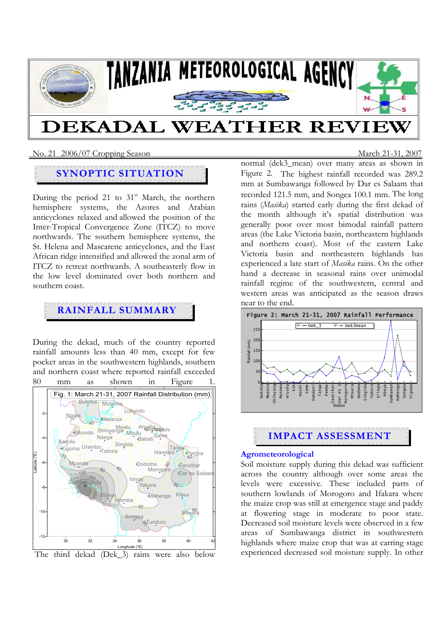

#### No. 21 2006/07 Cropping SeasonMarch 21-31, 2007

## **SYNOPTIC SITUATION**

During the period 21 to  $31<sup>st</sup>$  March, the northern hemisphere systems, the Azores and Arabian anticyclones relaxed and allowed the position of the Inter-Tropical Convergence Zone (ITCZ) to move northwards. The southern hemisphere systems, the St. Helena and Mascarene anticyclones, and the East African ridge intensified and allowed the zonal arm of ITCZ to retreat northwards. A southeasterly flow in the low level dominated over both northern and southern coast.

# **RAINFALL SUMMARY**

During the dekad, much of the country reported rainfall amounts less than 40 mm, except for few pocket areas in the southwestern highlands, southern and northern coast where reported rainfall exceeded 80 mm as shown in Figure





normal (dek3\_mean) over many areas as shown in Figure 2. The highest rainfall recorded was 289.2 mm at Sumbawanga followed by Dar es Salaam that recorded 121.5 mm, and Songea 100.1 mm. The long rains (*Masika*) started early during the first dekad of the month although it's spatial distribution was generally poor over most bimodal rainfall pattern areas (the Lake Victoria basin, northeastern highlands and northern coast). Most of the eastern Lake Victoria basin and northeastern highlands has experienced a late start of *Masika* rains. On the other hand a decrease in seasonal rains over unimodal rainfall regime of the southwestern, central and western areas was anticipated as the season draws near to the end.





#### **Agrometeorological**

Soil moisture supply during this dekad was sufficient across the country although over some areas the levels were excessive. These included parts of southern lowlands of Morogoro and Ifakara where the maize crop was still at emergence stage and paddy at flowering stage in moderate to poor state. Decreased soil moisture levels were observed in a few areas of Sumbawanga district in southwestern highlands where maize crop that was at earring stage experienced decreased soil moisture supply. In other